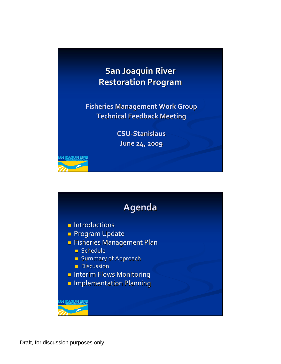

**Fisheries Fisheries Management Management Work Group Technical Technical Feedback Feedback Meeting Meeting**

> **CSU‐Stanislaus Stanislaus June 24, 2009**



NN <mark>|OAQUIN EI</mark>V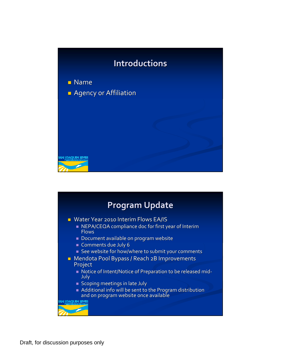

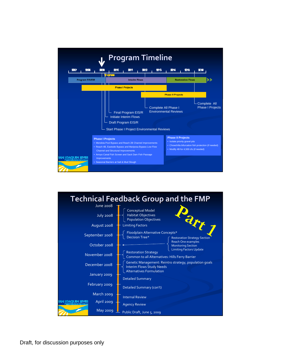

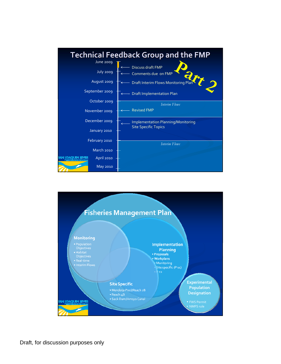

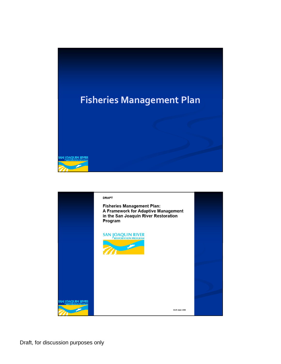

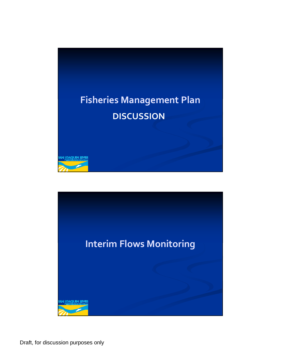

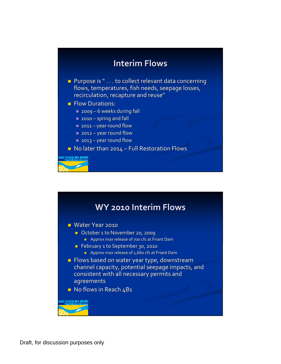## **Interim Interim Flows**

- Purpose is " . . . to collect relevant data concerning flows, temperatures, fish needs, seepage losses, recirculation, recapture and reuse"
- **Flow Durations:** 
	- 2009 6 weeks during fall
	- 2010 spring and fall
	- 2011 year round flow
	- 2012 year round flow
	- 2013 year round flow

 $\blacksquare$  No later than 2014 – Full Restoration Flows

NN <mark>JOAQUIN RIVER</mark>



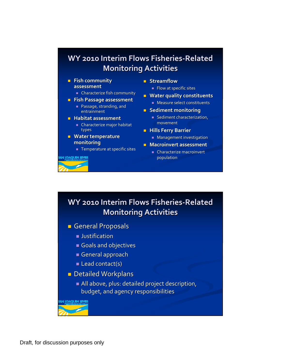## **WY 2010 Interim Flows Fisheries Fisheries‐Related Related Monitoring Activities**

- **Fish community community assessment assessment**
	- **Characterize fish community**
- **Fish Passage Passage assessment assessment**
	- **Passage, stranding, and** entrainment
- **Habitat Habitat assessment assessment**
	- $\blacksquare$  Characterize major habitat types
- **Water temperature temperature monitoring**

an <mark>joaquin kiver</mark>

 $\blacksquare$  Temperature at specific sites

- **Streamflow**
	- Flow at specific sites
- **Water quality quality constituents constituents Measure select constituents**
- **Sediment Sediment monitoring**
	- $\blacksquare$  Sediment characterization, movement movement
- **Hills Ferry Barrier** 
	- **Management investigation**
- **Macroinvert Macroinvertassessment assessment**
	- $\blacksquare$  Characterize macroinvert population

## **WY 2010 Interim Flows Fisheries Fisheries‐Related Related Monitoring Monitoring Activities Activities**

- **General Proposals** 
	- **Justification**
	- Goals and objectives
	- General approach
	- $\blacksquare$  Lead contact(s)
- $\blacksquare$  Detailed Workplans
	- $\blacksquare$  All above, plus: detailed project description, budget, and agency responsibilities

**IOAOUIN EIVER**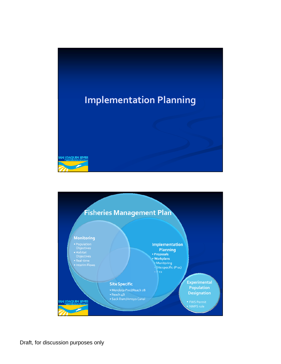

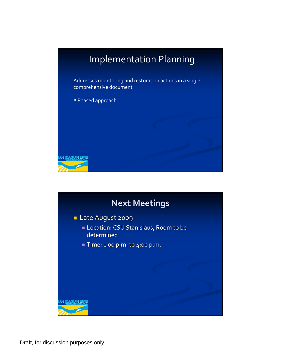